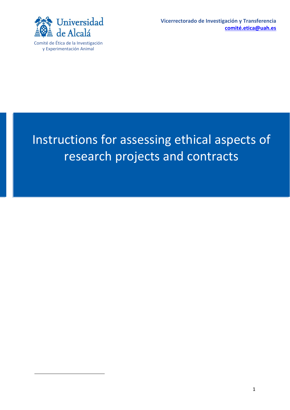

# 1 Instructions for assessing ethical aspects of research projects and contracts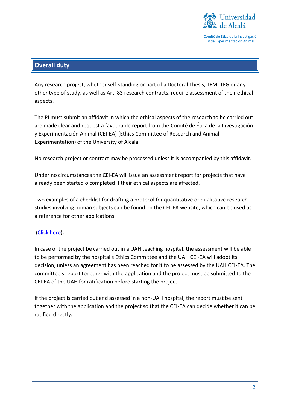

# **Overall duty**

Any research project, whether self-standing or part of a Doctoral Thesis, TFM, TFG or any other type of study, as well as Art. 83 research contracts, require assessment of their ethical aspects.

The PI must submit an affidavit in which the ethical aspects of the research to be carried out are made clear and request a favourable report from the Comité de Ética de la Investigación y Experimentación Animal (CEI-EA) (Ethics Committee of Research and Animal Experimentation) of the University of Alcalá.

No research project or contract may be processed unless it is accompanied by this affidavit.

Under no circumstances the CEI-EA will issue an assessment report for projects that have already been started o completed if their ethical aspects are affected.

Two examples of a checklist for drafting a protocol for quantitative or qualitative research studies involving human subjects can be found on the CEI-EA website, which can be used as a reference for other applications.

## [\(Click](https://www.uah.es/es/investigacion/servicios-para-el-investigador/comite-de-etica-de-investigacion-y-experimentacion-animal/#impresos-formularios-y-modelos) here).

In case of the project be carried out in a UAH teaching hospital, the assessment will be able to be performed by the hospital's Ethics Committee and the UAH CEI-EA will adopt its decision, unless an agreement has been reached for it to be assessed by the UAH CEI-EA. The committee's report together with the application and the project must be submitted to the CEI-EA of the UAH for ratification before starting the project.

If the project is carried out and assessed in a non-UAH hospital, the report must be sent together with the application and the project so that the CEI-EA can decide whether it can be ratified directly.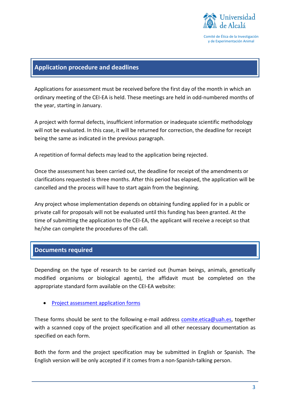

#### **Application procedure and deadlines**

Applications for assessment must be received before the first day of the month in which an ordinary meeting of the CEI-EA is held. These meetings are held in odd-numbered months of the year, starting in January.

A project with formal defects, insufficient information or inadequate scientific methodology will not be evaluated. In this case, it will be returned for correction, the deadline for receipt being the same as indicated in the previous paragraph.

A repetition of formal defects may lead to the application being rejected.

Once the assessment has been carried out, the deadline for receipt of the amendments or clarifications requested is three months. After this period has elapsed, the application will be cancelled and the process will have to start again from the beginning.

Any project whose implementation depends on obtaining funding applied for in a public or private call for proposals will not be evaluated until this funding has been granted. At the time of submitting the application to the CEI-EA, the applicant will receive a receipt so that he/she can complete the procedures of the call.

#### **Documents required**

Depending on the type of research to be carried out (human beings, animals, genetically modified organisms or biological agents), the affidavit must be completed on the appropriate standard form available on the CEI-EA website:

• [Project assessment application forms](https://www.uah.es/es/investigacion/servicios-para-el-investigador/comite-de-etica-de-investigacion-y-experimentacion-animal/#impresos-formularios-y-modelos)

These forms should be sent to the following e-mail address [comite.etica@uah.es,](mailto:comite.etica@uah.es) together with a scanned copy of the project specification and all other necessary documentation as specified on each form.

Both the form and the project specification may be submitted in English or Spanish. The English version will be only accepted if it comes from a non-Spanish-talking person.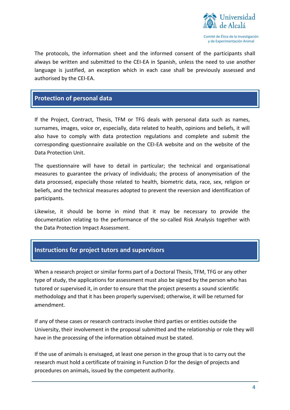

The protocols, the information sheet and the informed consent of the participants shall always be written and submitted to the CEI-EA in Spanish, unless the need to use another language is justified, an exception which in each case shall be previously assessed and authorised by the CEI-EA.

## **Protection of personal data**

If the Project, Contract, Thesis, TFM or TFG deals with personal data such as names, surnames, images, voice or, especially, data related to health, opinions and beliefs, it will also have to comply with data protection regulations and complete and submit the corresponding questionnaire available on the CEI-EA website and on the website of the Data Protection Unit.

The questionnaire will have to detail in particular; the technical and organisational measures to guarantee the privacy of individuals; the process of anonymisation of the data processed, especially those related to health, biometric data, race, sex, religion or beliefs, and the technical measures adopted to prevent the reversion and identification of participants.

Likewise, it should be borne in mind that it may be necessary to provide the documentation relating to the performance of the so-called Risk Analysis together with the Data Protection Impact Assessment.

## **Instructions for project tutors and supervisors**

When a research project or similar forms part of a Doctoral Thesis, TFM, TFG or any other type of study, the applications for assessment must also be signed by the person who has tutored or supervised it, in order to ensure that the project presents a sound scientific methodology and that it has been properly supervised; otherwise, it will be returned for amendment.

If any of these cases or research contracts involve third parties or entities outside the University, their involvement in the proposal submitted and the relationship or role they will have in the processing of the information obtained must be stated.

If the use of animals is envisaged, at least one person in the group that is to carry out the research must hold a certificate of training in Function D for the design of projects and procedures on animals, issued by the competent authority.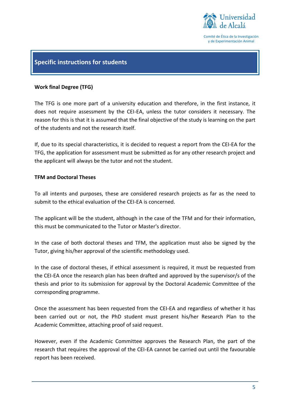

## **Specific instructions for students**

#### **Work final Degree (TFG)**

The TFG is one more part of a university education and therefore, in the first instance, it does not require assessment by the CEI-EA, unless the tutor considers it necessary. The reason for this is that it is assumed that the final objective of the study is learning on the part of the students and not the research itself.

If, due to its special characteristics, it is decided to request a report from the CEI-EA for the TFG, the application for assessment must be submitted as for any other research project and the applicant will always be the tutor and not the student.

#### **TFM and Doctoral Theses**

To all intents and purposes, these are considered research projects as far as the need to submit to the ethical evaluation of the CEI-EA is concerned.

The applicant will be the student, although in the case of the TFM and for their information, this must be communicated to the Tutor or Master's director.

In the case of both doctoral theses and TFM, the application must also be signed by the Tutor, giving his/her approval of the scientific methodology used.

In the case of doctoral theses, if ethical assessment is required, it must be requested from the CEI-EA once the research plan has been drafted and approved by the supervisor/s of the thesis and prior to its submission for approval by the Doctoral Academic Committee of the corresponding programme.

Once the assessment has been requested from the CEI-EA and regardless of whether it has been carried out or not, the PhD student must present his/her Research Plan to the Academic Committee, attaching proof of said request.

However, even if the Academic Committee approves the Research Plan, the part of the research that requires the approval of the CEI-EA cannot be carried out until the favourable report has been received.